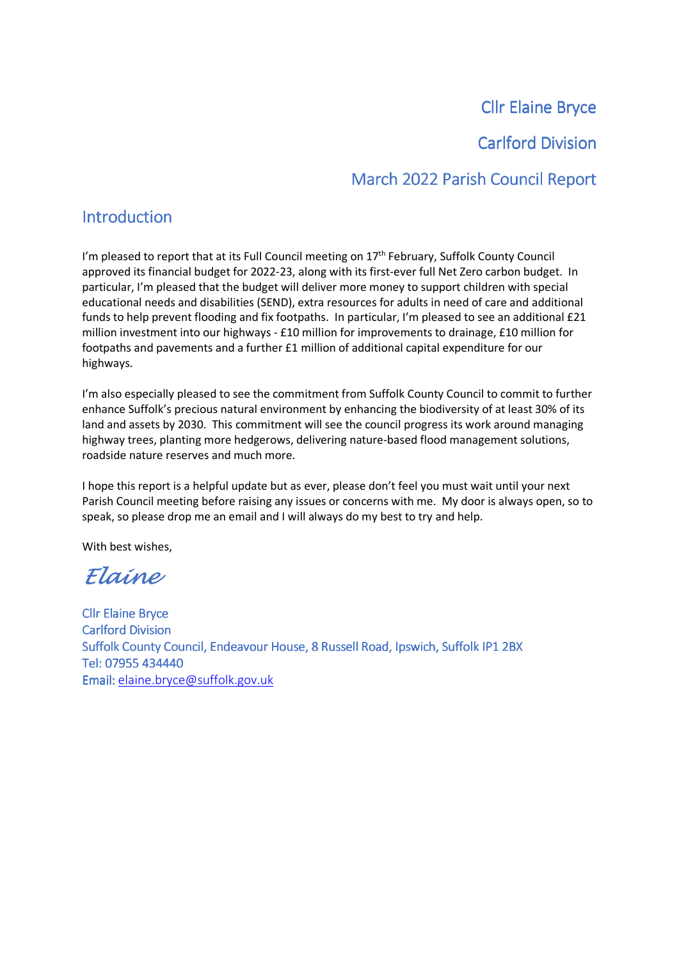# **Cllr Elaine Bryce**

## Carlford Division

# March 2022 Parish Council Report

## Introduction

I'm pleased to report that at its Full Council meeting on 17<sup>th</sup> February, Suffolk County Council approved its financial budget for 2022-23, along with its first-ever full Net Zero carbon budget. In particular, I'm pleased that the budget will deliver more money to support children with special educational needs and disabilities (SEND), extra resources for adults in need of care and additional funds to help prevent flooding and fix footpaths. In particular, I'm pleased to see an additional £21 million investment into our highways - £10 million for improvements to drainage, £10 million for footpaths and pavements and a further £1 million of additional capital expenditure for our highways.

I'm also especially pleased to see the commitment from Suffolk County Council to commit to further enhance Suffolk's precious natural environment by enhancing the biodiversity of at least 30% of its land and assets by 2030. This commitment will see the council progress its work around managing highway trees, planting more hedgerows, delivering nature-based flood management solutions, roadside nature reserves and much more.

I hope this report is a helpful update but as ever, please don't feel you must wait until your next Parish Council meeting before raising any issues or concerns with me. My door is always open, so to speak, so please drop me an email and I will always do my best to try and help.

With best wishes,

Elaine

Cllr Elaine Bryce **Carlford Division** Suffolk County Council, Endeavour House, 8 Russell Road, Ipswich, Suffolk IP1 2BX Tel: 07955 434440 Email: elaine.bryce@suffolk.gov.uk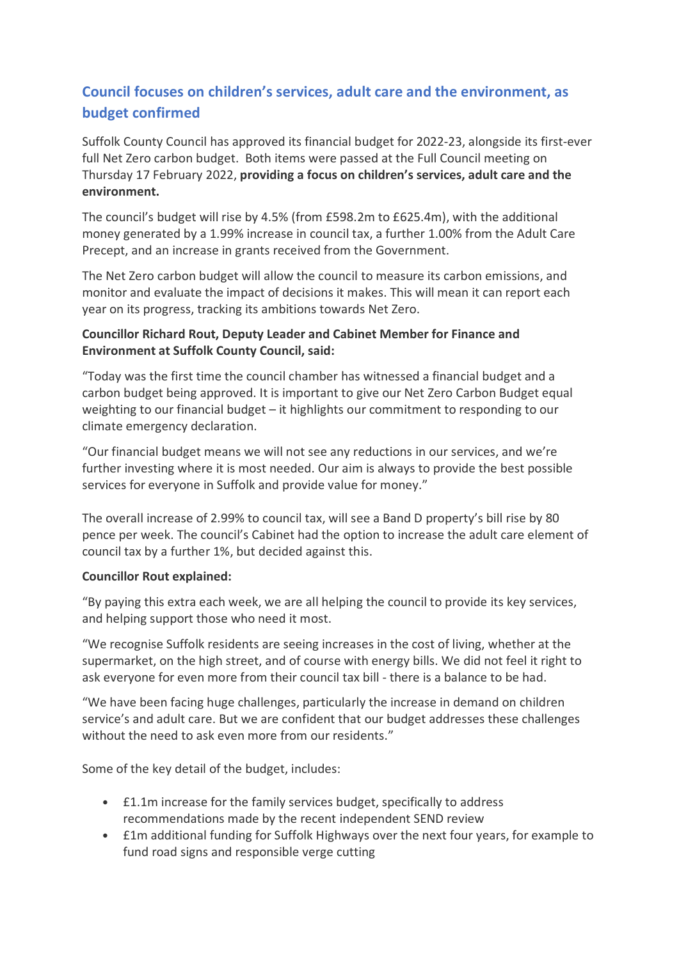# **Council focuses on children's services, adult care and the environment, as budget confirmed**

Suffolk County Council has approved its financial budget for 2022-23, alongside its first-ever full Net Zero carbon budget. Both items were passed at the Full Council meeting on Thursday 17 February 2022, **providing a focus on children's services, adult care and the environment.**

The council's budget will rise by 4.5% (from £598.2m to £625.4m), with the additional money generated by a 1.99% increase in council tax, a further 1.00% from the Adult Care Precept, and an increase in grants received from the Government.

The Net Zero carbon budget will allow the council to measure its carbon emissions, and monitor and evaluate the impact of decisions it makes. This will mean it can report each year on its progress, tracking its ambitions towards Net Zero.

### **Councillor Richard Rout, Deputy Leader and Cabinet Member for Finance and Environment at Suffolk County Council, said:**

"Today was the first time the council chamber has witnessed a financial budget and a carbon budget being approved. It is important to give our Net Zero Carbon Budget equal weighting to our financial budget – it highlights our commitment to responding to our climate emergency declaration.

"Our financial budget means we will not see any reductions in our services, and we're further investing where it is most needed. Our aim is always to provide the best possible services for everyone in Suffolk and provide value for money."

The overall increase of 2.99% to council tax, will see a Band D property's bill rise by 80 pence per week. The council's Cabinet had the option to increase the adult care element of council tax by a further 1%, but decided against this.

#### **Councillor Rout explained:**

"By paying this extra each week, we are all helping the council to provide its key services, and helping support those who need it most.

"We recognise Suffolk residents are seeing increases in the cost of living, whether at the supermarket, on the high street, and of course with energy bills. We did not feel it right to ask everyone for even more from their council tax bill - there is a balance to be had.

"We have been facing huge challenges, particularly the increase in demand on children service's and adult care. But we are confident that our budget addresses these challenges without the need to ask even more from our residents."

Some of the key detail of the budget, includes:

- £1.1m increase for the family services budget, specifically to address recommendations made by the recent independent SEND review
- £1m additional funding for Suffolk Highways over the next four years, for example to fund road signs and responsible verge cutting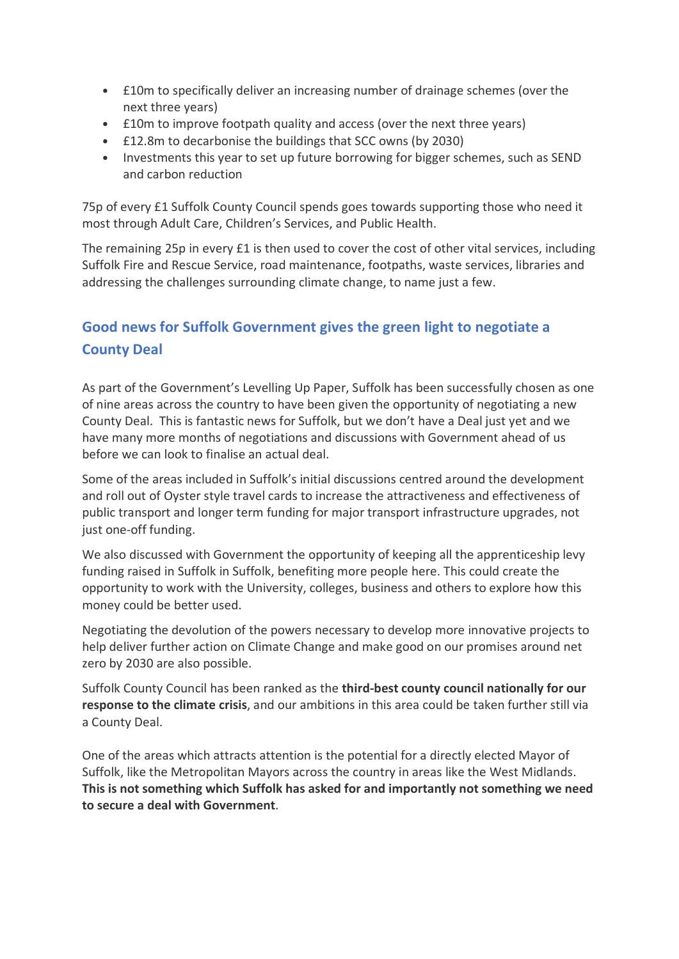- £10m to specifically deliver an increasing number of drainage schemes (over the next three years)
- £10m to improve footpath quality and access (over the next three years)
- £12.8m to decarbonise the buildings that SCC owns (by 2030)
- Investments this year to set up future borrowing for bigger schemes, such as SEND and carbon reduction

75p of every £1 Suffolk County Council spends goes towards supporting those who need it most through Adult Care, Children's Services, and Public Health.

The remaining 25p in every £1 is then used to cover the cost of other vital services, including Suffolk Fire and Rescue Service, road maintenance, footpaths, waste services, libraries and addressing the challenges surrounding climate change, to name just a few.

# **Good news for Suffolk Government gives the green light to negotiate a County Deal**

As part of the Government's Levelling Up Paper, Suffolk has been successfully chosen as one of nine areas across the country to have been given the opportunity of negotiating a new County Deal. This is fantastic news for Suffolk, but we don't have a Deal just yet and we have many more months of negotiations and discussions with Government ahead of us before we can look to finalise an actual deal.

Some of the areas included in Suffolk's initial discussions centred around the development and roll out of Oyster style travel cards to increase the attractiveness and effectiveness of public transport and longer term funding for major transport infrastructure upgrades, not just one-off funding.

We also discussed with Government the opportunity of keeping all the apprenticeship levy funding raised in Suffolk in Suffolk, benefiting more people here. This could create the opportunity to work with the University, colleges, business and others to explore how this money could be better used.

Negotiating the devolution of the powers necessary to develop more innovative projects to help deliver further action on Climate Change and make good on our promises around net zero by 2030 are also possible.

Suffolk County Council has been ranked as the **third-best county council nationally for our response to the climate crisis**, and our ambitions in this area could be taken further still via a County Deal.

One of the areas which attracts attention is the potential for a directly elected Mayor of Suffolk, like the Metropolitan Mayors across the country in areas like the West Midlands. **This is not something which Suffolk has asked for and importantly not something we need to secure a deal with Government**.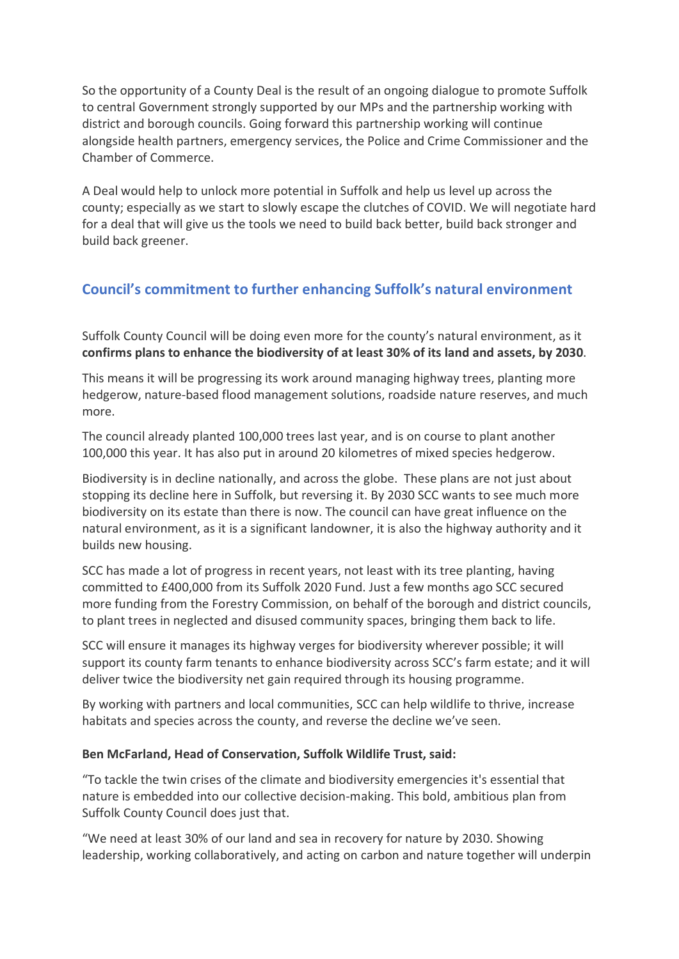So the opportunity of a County Deal is the result of an ongoing dialogue to promote Suffolk to central Government strongly supported by our MPs and the partnership working with district and borough councils. Going forward this partnership working will continue alongside health partners, emergency services, the Police and Crime Commissioner and the Chamber of Commerce.

A Deal would help to unlock more potential in Suffolk and help us level up across the county; especially as we start to slowly escape the clutches of COVID. We will negotiate hard for a deal that will give us the tools we need to build back better, build back stronger and build back greener.

## **Council's commitment to further enhancing Suffolk's natural environment**

Suffolk County Council will be doing even more for the county's natural environment, as it **confirms plans to enhance the biodiversity of at least 30% of its land and assets, by 2030**.

This means it will be progressing its work around managing highway trees, planting more hedgerow, nature-based flood management solutions, roadside nature reserves, and much more.

The council already planted 100,000 trees last year, and is on course to plant another 100,000 this year. It has also put in around 20 kilometres of mixed species hedgerow.

Biodiversity is in decline nationally, and across the globe. These plans are not just about stopping its decline here in Suffolk, but reversing it. By 2030 SCC wants to see much more biodiversity on its estate than there is now. The council can have great influence on the natural environment, as it is a significant landowner, it is also the highway authority and it builds new housing.

SCC has made a lot of progress in recent years, not least with its tree planting, having committed to £400,000 from its Suffolk 2020 Fund. Just a few months ago SCC secured more funding from the Forestry Commission, on behalf of the borough and district councils, to plant trees in neglected and disused community spaces, bringing them back to life.

SCC will ensure it manages its highway verges for biodiversity wherever possible; it will support its county farm tenants to enhance biodiversity across SCC's farm estate; and it will deliver twice the biodiversity net gain required through its housing programme.

By working with partners and local communities, SCC can help wildlife to thrive, increase habitats and species across the county, and reverse the decline we've seen.

#### **Ben McFarland, Head of Conservation, Suffolk Wildlife Trust, said:**

"To tackle the twin crises of the climate and biodiversity emergencies it's essential that nature is embedded into our collective decision-making. This bold, ambitious plan from Suffolk County Council does just that.

"We need at least 30% of our land and sea in recovery for nature by 2030. Showing leadership, working collaboratively, and acting on carbon and nature together will underpin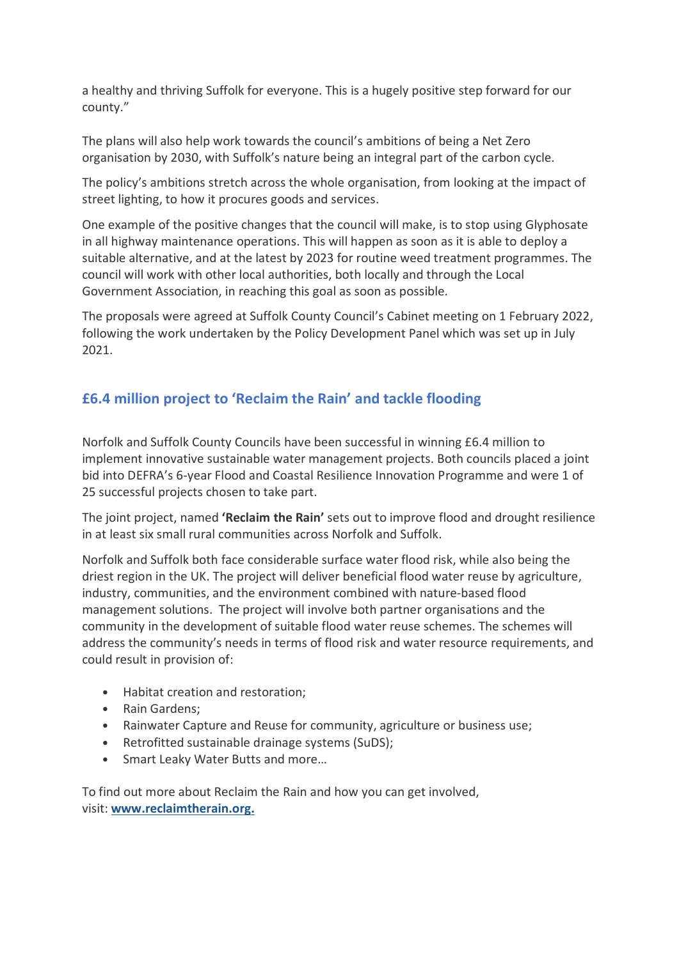a healthy and thriving Suffolk for everyone. This is a hugely positive step forward for our county."

The plans will also help work towards the council's ambitions of being a Net Zero organisation by 2030, with Suffolk's nature being an integral part of the carbon cycle.

The policy's ambitions stretch across the whole organisation, from looking at the impact of street lighting, to how it procures goods and services.

One example of the positive changes that the council will make, is to stop using Glyphosate in all highway maintenance operations. This will happen as soon as it is able to deploy a suitable alternative, and at the latest by 2023 for routine weed treatment programmes. The council will work with other local authorities, both locally and through the Local Government Association, in reaching this goal as soon as possible.

The proposals were agreed at Suffolk County Council's Cabinet meeting on 1 February 2022, following the work undertaken by the Policy Development Panel which was set up in July 2021.

## **£6.4 million project to 'Reclaim the Rain' and tackle flooding**

Norfolk and Suffolk County Councils have been successful in winning £6.4 million to implement innovative sustainable water management projects. Both councils placed a joint bid into DEFRA's 6-year Flood and Coastal Resilience Innovation Programme and were 1 of 25 successful projects chosen to take part.

The joint project, named **'Reclaim the Rain'** sets out to improve flood and drought resilience in at least six small rural communities across Norfolk and Suffolk.

Norfolk and Suffolk both face considerable surface water flood risk, while also being the driest region in the UK. The project will deliver beneficial flood water reuse by agriculture, industry, communities, and the environment combined with nature-based flood management solutions. The project will involve both partner organisations and the community in the development of suitable flood water reuse schemes. The schemes will address the community's needs in terms of flood risk and water resource requirements, and could result in provision of:

- Habitat creation and restoration;
- Rain Gardens;
- Rainwater Capture and Reuse for community, agriculture or business use;
- Retrofitted sustainable drainage systems (SuDS);
- Smart Leaky Water Butts and more…

To find out more about Reclaim the Rain and how you can get involved, visit: **www.reclaimtherain.org.**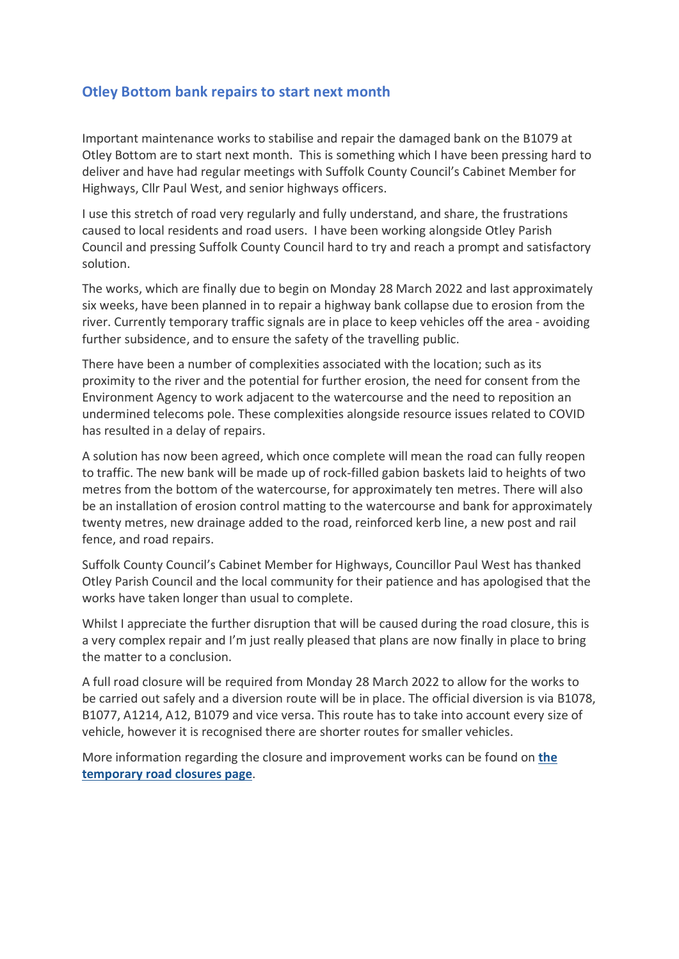### **Otley Bottom bank repairs to start next month**

Important maintenance works to stabilise and repair the damaged bank on the B1079 at Otley Bottom are to start next month. This is something which I have been pressing hard to deliver and have had regular meetings with Suffolk County Council's Cabinet Member for Highways, Cllr Paul West, and senior highways officers.

I use this stretch of road very regularly and fully understand, and share, the frustrations caused to local residents and road users. I have been working alongside Otley Parish Council and pressing Suffolk County Council hard to try and reach a prompt and satisfactory solution.

The works, which are finally due to begin on Monday 28 March 2022 and last approximately six weeks, have been planned in to repair a highway bank collapse due to erosion from the river. Currently temporary traffic signals are in place to keep vehicles off the area - avoiding further subsidence, and to ensure the safety of the travelling public.

There have been a number of complexities associated with the location; such as its proximity to the river and the potential for further erosion, the need for consent from the Environment Agency to work adjacent to the watercourse and the need to reposition an undermined telecoms pole. These complexities alongside resource issues related to COVID has resulted in a delay of repairs.

A solution has now been agreed, which once complete will mean the road can fully reopen to traffic. The new bank will be made up of rock-filled gabion baskets laid to heights of two metres from the bottom of the watercourse, for approximately ten metres. There will also be an installation of erosion control matting to the watercourse and bank for approximately twenty metres, new drainage added to the road, reinforced kerb line, a new post and rail fence, and road repairs.

Suffolk County Council's Cabinet Member for Highways, Councillor Paul West has thanked Otley Parish Council and the local community for their patience and has apologised that the works have taken longer than usual to complete.

Whilst I appreciate the further disruption that will be caused during the road closure, this is a very complex repair and I'm just really pleased that plans are now finally in place to bring the matter to a conclusion.

A full road closure will be required from Monday 28 March 2022 to allow for the works to be carried out safely and a diversion route will be in place. The official diversion is via B1078, B1077, A1214, A12, B1079 and vice versa. This route has to take into account every size of vehicle, however it is recognised there are shorter routes for smaller vehicles.

More information regarding the closure and improvement works can be found on **the temporary road closures page**.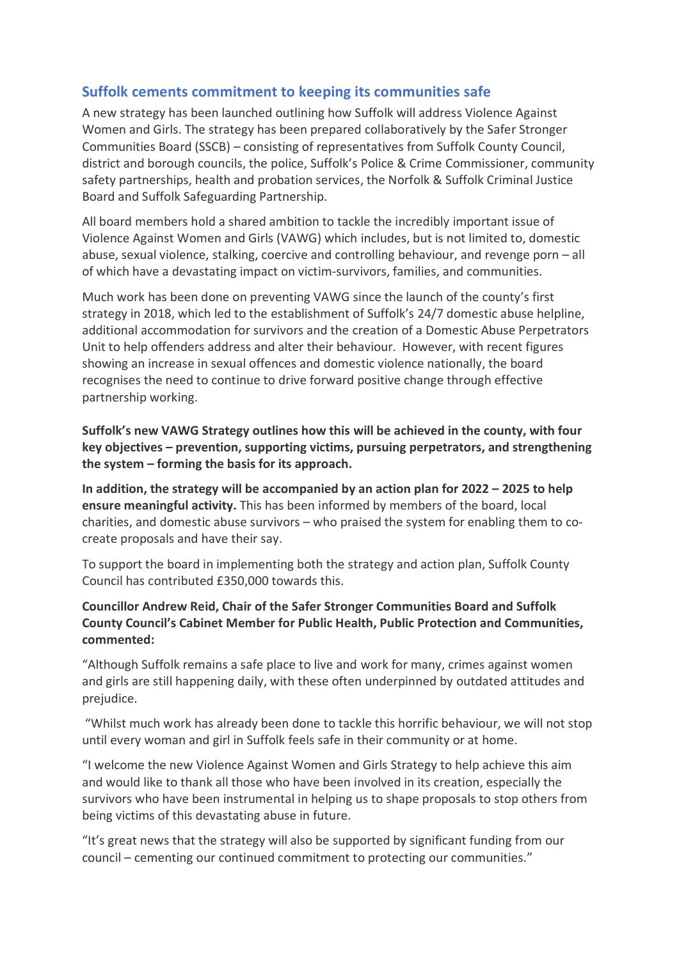## **Suffolk cements commitment to keeping its communities safe**

A new strategy has been launched outlining how Suffolk will address Violence Against Women and Girls. The strategy has been prepared collaboratively by the Safer Stronger Communities Board (SSCB) – consisting of representatives from Suffolk County Council, district and borough councils, the police, Suffolk's Police & Crime Commissioner, community safety partnerships, health and probation services, the Norfolk & Suffolk Criminal Justice Board and Suffolk Safeguarding Partnership.

All board members hold a shared ambition to tackle the incredibly important issue of Violence Against Women and Girls (VAWG) which includes, but is not limited to, domestic abuse, sexual violence, stalking, coercive and controlling behaviour, and revenge porn – all of which have a devastating impact on victim-survivors, families, and communities.

Much work has been done on preventing VAWG since the launch of the county's first strategy in 2018, which led to the establishment of Suffolk's 24/7 domestic abuse helpline, additional accommodation for survivors and the creation of a Domestic Abuse Perpetrators Unit to help offenders address and alter their behaviour. However, with recent figures showing an increase in sexual offences and domestic violence nationally, the board recognises the need to continue to drive forward positive change through effective partnership working.

**Suffolk's new VAWG Strategy outlines how this will be achieved in the county, with four key objectives – prevention, supporting victims, pursuing perpetrators, and strengthening the system – forming the basis for its approach.** 

**In addition, the strategy will be accompanied by an action plan for 2022 – 2025 to help ensure meaningful activity.** This has been informed by members of the board, local charities, and domestic abuse survivors – who praised the system for enabling them to cocreate proposals and have their say.

To support the board in implementing both the strategy and action plan, Suffolk County Council has contributed £350,000 towards this.

### **Councillor Andrew Reid, Chair of the Safer Stronger Communities Board and Suffolk County Council's Cabinet Member for Public Health, Public Protection and Communities, commented:**

"Although Suffolk remains a safe place to live and work for many, crimes against women and girls are still happening daily, with these often underpinned by outdated attitudes and prejudice.

 "Whilst much work has already been done to tackle this horrific behaviour, we will not stop until every woman and girl in Suffolk feels safe in their community or at home.

"I welcome the new Violence Against Women and Girls Strategy to help achieve this aim and would like to thank all those who have been involved in its creation, especially the survivors who have been instrumental in helping us to shape proposals to stop others from being victims of this devastating abuse in future.

"It's great news that the strategy will also be supported by significant funding from our council – cementing our continued commitment to protecting our communities."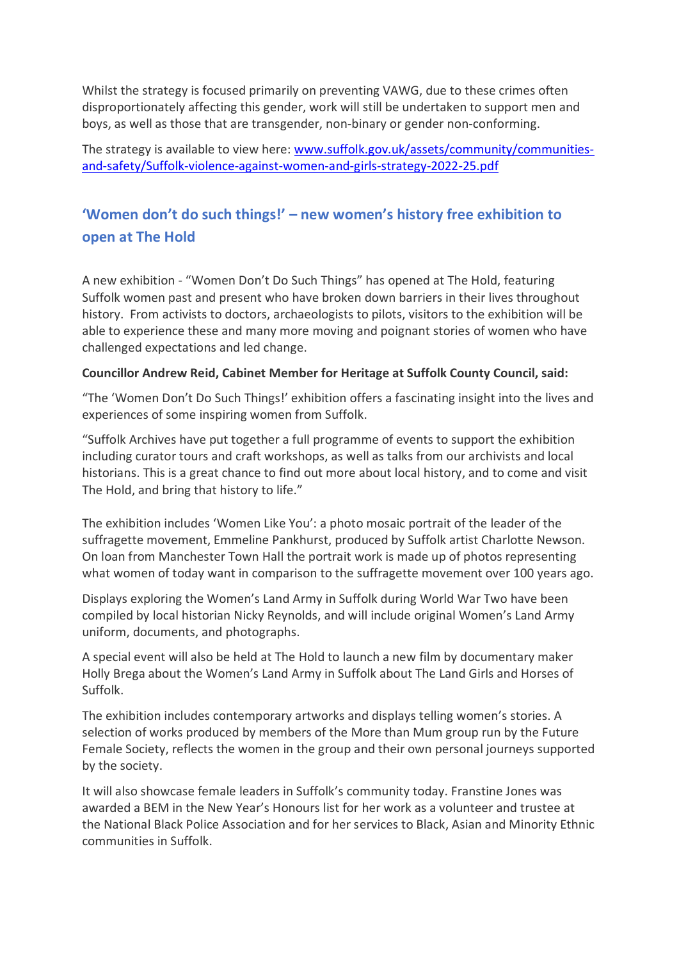Whilst the strategy is focused primarily on preventing VAWG, due to these crimes often disproportionately affecting this gender, work will still be undertaken to support men and boys, as well as those that are transgender, non-binary or gender non-conforming.

The strategy is available to view here: www.suffolk.gov.uk/assets/community/communitiesand-safety/Suffolk-violence-against-women-and-girls-strategy-2022-25.pdf

# **'Women don't do such things!' – new women's history free exhibition to open at The Hold**

A new exhibition - "Women Don't Do Such Things" has opened at The Hold, featuring Suffolk women past and present who have broken down barriers in their lives throughout history. From activists to doctors, archaeologists to pilots, visitors to the exhibition will be able to experience these and many more moving and poignant stories of women who have challenged expectations and led change.

#### **Councillor Andrew Reid, Cabinet Member for Heritage at Suffolk County Council, said:**

"The 'Women Don't Do Such Things!' exhibition offers a fascinating insight into the lives and experiences of some inspiring women from Suffolk.

"Suffolk Archives have put together a full programme of events to support the exhibition including curator tours and craft workshops, as well as talks from our archivists and local historians. This is a great chance to find out more about local history, and to come and visit The Hold, and bring that history to life."

The exhibition includes 'Women Like You': a photo mosaic portrait of the leader of the suffragette movement, Emmeline Pankhurst, produced by Suffolk artist Charlotte Newson. On loan from Manchester Town Hall the portrait work is made up of photos representing what women of today want in comparison to the suffragette movement over 100 years ago.

Displays exploring the Women's Land Army in Suffolk during World War Two have been compiled by local historian Nicky Reynolds, and will include original Women's Land Army uniform, documents, and photographs.

A special event will also be held at The Hold to launch a new film by documentary maker Holly Brega about the Women's Land Army in Suffolk about The Land Girls and Horses of Suffolk.

The exhibition includes contemporary artworks and displays telling women's stories. A selection of works produced by members of the More than Mum group run by the Future Female Society, reflects the women in the group and their own personal journeys supported by the society.

It will also showcase female leaders in Suffolk's community today. Franstine Jones was awarded a BEM in the New Year's Honours list for her work as a volunteer and trustee at the National Black Police Association and for her services to Black, Asian and Minority Ethnic communities in Suffolk.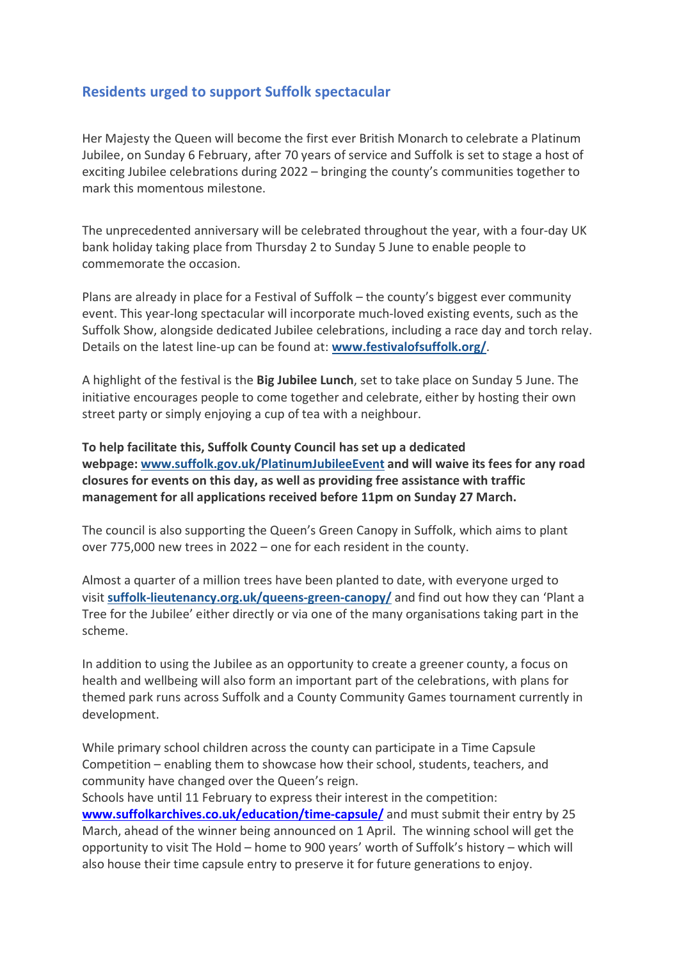## **Residents urged to support Suffolk spectacular**

Her Majesty the Queen will become the first ever British Monarch to celebrate a Platinum Jubilee, on Sunday 6 February, after 70 years of service and Suffolk is set to stage a host of exciting Jubilee celebrations during 2022 – bringing the county's communities together to mark this momentous milestone.

The unprecedented anniversary will be celebrated throughout the year, with a four-day UK bank holiday taking place from Thursday 2 to Sunday 5 June to enable people to commemorate the occasion.

Plans are already in place for a Festival of Suffolk – the county's biggest ever community event. This year-long spectacular will incorporate much-loved existing events, such as the Suffolk Show, alongside dedicated Jubilee celebrations, including a race day and torch relay. Details on the latest line-up can be found at: **www.festivalofsuffolk.org/**.

A highlight of the festival is the **Big Jubilee Lunch**, set to take place on Sunday 5 June. The initiative encourages people to come together and celebrate, either by hosting their own street party or simply enjoying a cup of tea with a neighbour.

**To help facilitate this, Suffolk County Council has set up a dedicated webpage: www.suffolk.gov.uk/PlatinumJubileeEvent and will waive its fees for any road closures for events on this day, as well as providing free assistance with traffic management for all applications received before 11pm on Sunday 27 March.** 

The council is also supporting the Queen's Green Canopy in Suffolk, which aims to plant over 775,000 new trees in 2022 – one for each resident in the county.

Almost a quarter of a million trees have been planted to date, with everyone urged to visit **suffolk-lieutenancy.org.uk/queens-green-canopy/** and find out how they can 'Plant a Tree for the Jubilee' either directly or via one of the many organisations taking part in the scheme.

In addition to using the Jubilee as an opportunity to create a greener county, a focus on health and wellbeing will also form an important part of the celebrations, with plans for themed park runs across Suffolk and a County Community Games tournament currently in development.

While primary school children across the county can participate in a Time Capsule Competition – enabling them to showcase how their school, students, teachers, and community have changed over the Queen's reign.

Schools have until 11 February to express their interest in the competition: **www.suffolkarchives.co.uk/education/time-capsule/** and must submit their entry by 25 March, ahead of the winner being announced on 1 April. The winning school will get the opportunity to visit The Hold – home to 900 years' worth of Suffolk's history – which will also house their time capsule entry to preserve it for future generations to enjoy.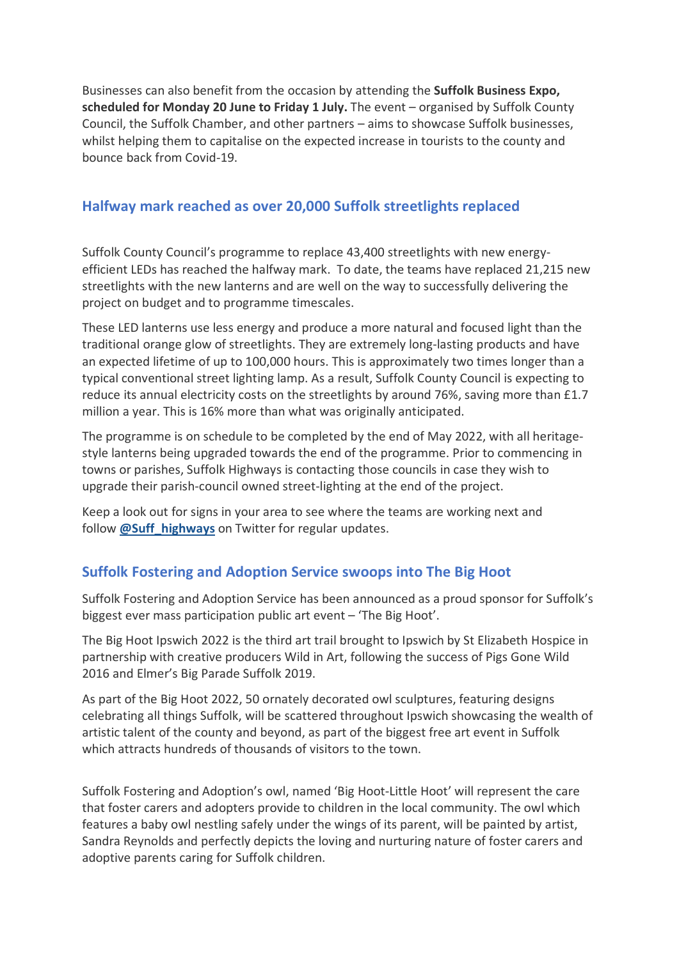Businesses can also benefit from the occasion by attending the **Suffolk Business Expo, scheduled for Monday 20 June to Friday 1 July.** The event – organised by Suffolk County Council, the Suffolk Chamber, and other partners – aims to showcase Suffolk businesses, whilst helping them to capitalise on the expected increase in tourists to the county and bounce back from Covid-19.

## **Halfway mark reached as over 20,000 Suffolk streetlights replaced**

Suffolk County Council's programme to replace 43,400 streetlights with new energyefficient LEDs has reached the halfway mark. To date, the teams have replaced 21,215 new streetlights with the new lanterns and are well on the way to successfully delivering the project on budget and to programme timescales.

These LED lanterns use less energy and produce a more natural and focused light than the traditional orange glow of streetlights. They are extremely long-lasting products and have an expected lifetime of up to 100,000 hours. This is approximately two times longer than a typical conventional street lighting lamp. As a result, Suffolk County Council is expecting to reduce its annual electricity costs on the streetlights by around 76%, saving more than £1.7 million a year. This is 16% more than what was originally anticipated.

The programme is on schedule to be completed by the end of May 2022, with all heritagestyle lanterns being upgraded towards the end of the programme. Prior to commencing in towns or parishes, Suffolk Highways is contacting those councils in case they wish to upgrade their parish-council owned street-lighting at the end of the project.

Keep a look out for signs in your area to see where the teams are working next and follow **@Suff\_highways** on Twitter for regular updates.

## **Suffolk Fostering and Adoption Service swoops into The Big Hoot**

Suffolk Fostering and Adoption Service has been announced as a proud sponsor for Suffolk's biggest ever mass participation public art event – 'The Big Hoot'.

The Big Hoot Ipswich 2022 is the third art trail brought to Ipswich by St Elizabeth Hospice in partnership with creative producers Wild in Art, following the success of Pigs Gone Wild 2016 and Elmer's Big Parade Suffolk 2019.

As part of the Big Hoot 2022, 50 ornately decorated owl sculptures, featuring designs celebrating all things Suffolk, will be scattered throughout Ipswich showcasing the wealth of artistic talent of the county and beyond, as part of the biggest free art event in Suffolk which attracts hundreds of thousands of visitors to the town.

Suffolk Fostering and Adoption's owl, named 'Big Hoot-Little Hoot' will represent the care that foster carers and adopters provide to children in the local community. The owl which features a baby owl nestling safely under the wings of its parent, will be painted by artist, Sandra Reynolds and perfectly depicts the loving and nurturing nature of foster carers and adoptive parents caring for Suffolk children.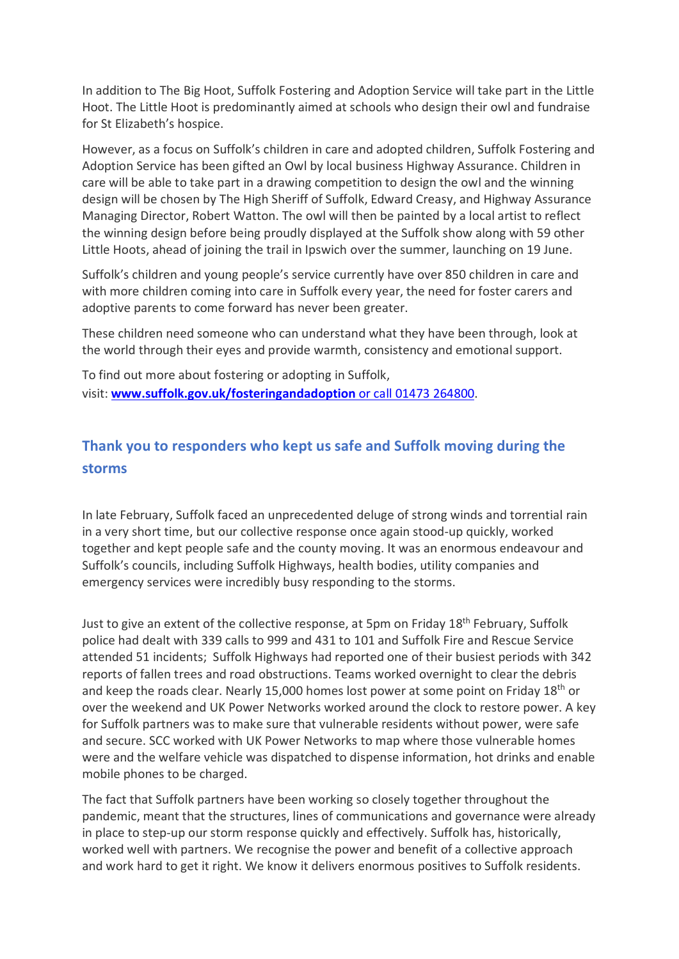In addition to The Big Hoot, Suffolk Fostering and Adoption Service will take part in the Little Hoot. The Little Hoot is predominantly aimed at schools who design their owl and fundraise for St Elizabeth's hospice.

However, as a focus on Suffolk's children in care and adopted children, Suffolk Fostering and Adoption Service has been gifted an Owl by local business Highway Assurance. Children in care will be able to take part in a drawing competition to design the owl and the winning design will be chosen by The High Sheriff of Suffolk, Edward Creasy, and Highway Assurance Managing Director, Robert Watton. The owl will then be painted by a local artist to reflect the winning design before being proudly displayed at the Suffolk show along with 59 other Little Hoots, ahead of joining the trail in Ipswich over the summer, launching on 19 June.

Suffolk's children and young people's service currently have over 850 children in care and with more children coming into care in Suffolk every year, the need for foster carers and adoptive parents to come forward has never been greater.

These children need someone who can understand what they have been through, look at the world through their eyes and provide warmth, consistency and emotional support.

To find out more about fostering or adopting in Suffolk, visit: **www.suffolk.gov.uk/fosteringandadoption** or call 01473 264800.

# **Thank you to responders who kept us safe and Suffolk moving during the storms**

In late February, Suffolk faced an unprecedented deluge of strong winds and torrential rain in a very short time, but our collective response once again stood-up quickly, worked together and kept people safe and the county moving. It was an enormous endeavour and Suffolk's councils, including Suffolk Highways, health bodies, utility companies and emergency services were incredibly busy responding to the storms.

Just to give an extent of the collective response, at 5pm on Friday 18<sup>th</sup> February, Suffolk police had dealt with 339 calls to 999 and 431 to 101 and Suffolk Fire and Rescue Service attended 51 incidents; Suffolk Highways had reported one of their busiest periods with 342 reports of fallen trees and road obstructions. Teams worked overnight to clear the debris and keep the roads clear. Nearly 15,000 homes lost power at some point on Friday 18<sup>th</sup> or over the weekend and UK Power Networks worked around the clock to restore power. A key for Suffolk partners was to make sure that vulnerable residents without power, were safe and secure. SCC worked with UK Power Networks to map where those vulnerable homes were and the welfare vehicle was dispatched to dispense information, hot drinks and enable mobile phones to be charged.

The fact that Suffolk partners have been working so closely together throughout the pandemic, meant that the structures, lines of communications and governance were already in place to step-up our storm response quickly and effectively. Suffolk has, historically, worked well with partners. We recognise the power and benefit of a collective approach and work hard to get it right. We know it delivers enormous positives to Suffolk residents.